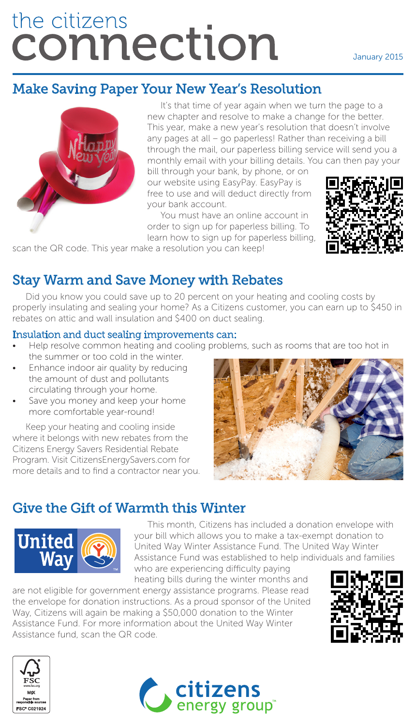# the citizens connection

# Make Saving Paper Your New Year's Resolution



It's that time of year again when we turn the page to a new chapter and resolve to make a change for the better. This year, make a new year's resolution that doesn't involve any pages at all – go paperless! Rather than receiving a bill through the mail, our paperless billing service will send you a monthly email with your billing details. You can then pay your

bill through your bank, by phone, or on our website using EasyPay. EasyPay is free to use and will deduct directly from your bank account.

You must have an online account in order to sign up for paperless billing. To learn how to sign up for paperless billing,



scan the QR code. This year make a resolution you can keep!

## Stay Warm and Save Money with Rebates

Did you know you could save up to 20 percent on your heating and cooling costs by properly insulating and sealing your home? As a Citizens customer, you can earn up to \$450 in rebates on attic and wall insulation and \$400 on duct sealing.

#### Insulation and duct sealing improvements can:

- Help resolve common heating and cooling problems, such as rooms that are too hot in the summer or too cold in the winter.
- Enhance indoor air quality by reducing the amount of dust and pollutants circulating through your home.
- Save you money and keep your home more comfortable year-round!

Keep your heating and cooling inside where it belongs with new rebates from the Citizens Energy Savers Residential Rebate Program. Visit CitizensEnergySavers.com for more details and to find a contractor near you.



### Give the Gift of Warmth this Winter



This month, Citizens has included a donation envelope with your bill which allows you to make a tax-exempt donation to United Way Winter Assistance Fund. The United Way Winter Assistance Fund was established to help individuals and families who are experiencing difficulty paying

heating bills during the winter months and are not eligible for government energy assistance programs. Please read

the envelope for donation instructions. As a proud sponsor of the United Way, Citizens will again be making a \$50,000 donation to the Winter Assistance Fund. For more information about the United Way Winter Assistance fund, scan the QR code.